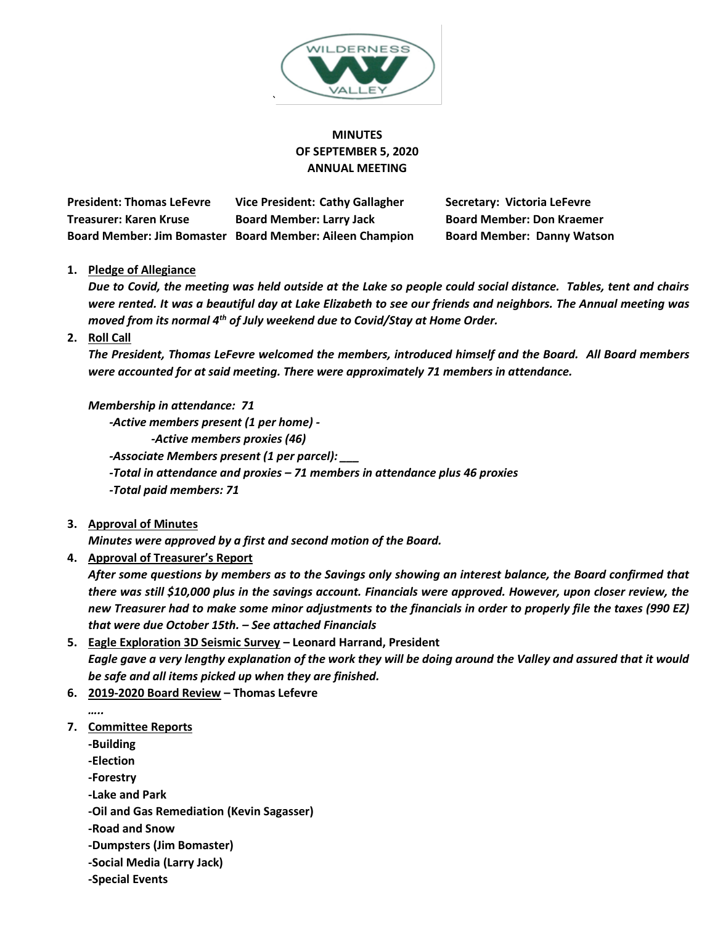

## **MINUTES OF SEPTEMBER 5, 2020 ANNUAL MEETING**

**President: Thomas LeFevre Vice President: Cathy Gallagher Secretary: Victoria LeFevre Treasurer: Karen Kruse Board Member: Larry Jack Board Member: Don Kraemer Board Member: Jim Bomaster Board Member: Aileen Champion Board Member: Danny Watson**

## **1. Pledge of Allegiance**

*Due to Covid, the meeting was held outside at the Lake so people could social distance. Tables, tent and chairs were rented. It was a beautiful day at Lake Elizabeth to see our friends and neighbors. The Annual meeting was moved from its normal 4th of July weekend due to Covid/Stay at Home Order.*

**2. Roll Call**

*The President, Thomas LeFevre welcomed the members, introduced himself and the Board. All Board members were accounted for at said meeting. There were approximately 71 members in attendance.*

*Membership in attendance: 71*

*-Active members present (1 per home) -*

*-Active members proxies (46)*

*-Associate Members present (1 per parcel): \_\_\_*

*-Total in attendance and proxies – 71 members in attendance plus 46 proxies*

- *-Total paid members: 71*
- **3. Approval of Minutes**

*Minutes were approved by a first and second motion of the Board.*

**4. Approval of Treasurer's Report**

*After some questions by members as to the Savings only showing an interest balance, the Board confirmed that there was still \$10,000 plus in the savings account. Financials were approved. However, upon closer review, the new Treasurer had to make some minor adjustments to the financials in order to properly file the taxes (990 EZ) that were due October 15th. – See attached Financials* 

- **5. Eagle Exploration 3D Seismic Survey – Leonard Harrand, President** *Eagle gave a very lengthy explanation of the work they will be doing around the Valley and assured that it would be safe and all items picked up when they are finished.*
- **6. 2019-2020 Board Review – Thomas Lefevre**

*…..*

**7. Committee Reports**

**-Building**

**-Election**

**-Forestry**

**-Lake and Park**

**-Oil and Gas Remediation (Kevin Sagasser)**

**-Road and Snow**

**-Dumpsters (Jim Bomaster)**

**-Social Media (Larry Jack)**

**-Special Events**